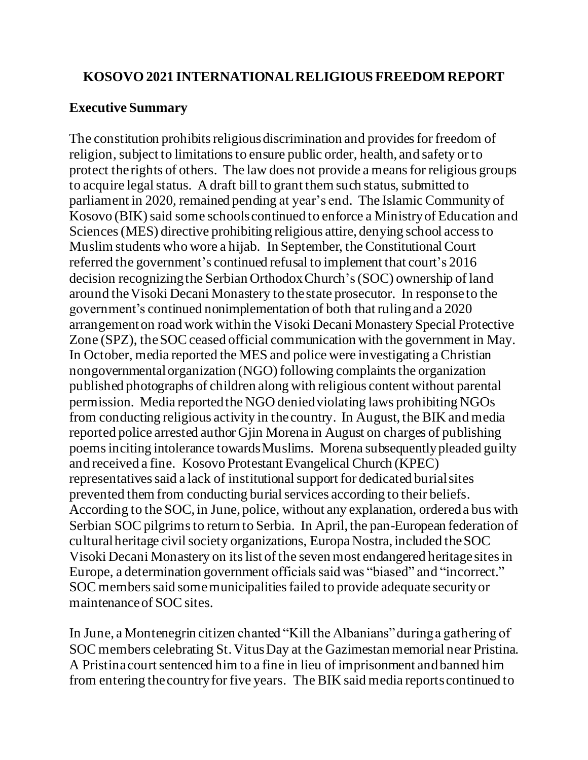#### **KOSOVO 2021 INTERNATIONAL RELIGIOUS FREEDOM REPORT**

### **Executive Summary**

The constitution prohibits religious discrimination and provides for freedom of religion, subject to limitations to ensure public order, health, and safety or to protect the rights of others. The law does not provide a means for religious groups to acquire legal status. A draft bill to grant them such status, submitted to parliament in 2020, remained pending at year's end. The Islamic Community of Kosovo (BIK) said some schools continued to enforce a Ministry of Education and Sciences (MES) directive prohibiting religious attire, denying school access to Muslim students who wore a hijab. In September, the Constitutional Court referred the government's continued refusal to implement that court's 2016 decision recognizing the Serbian Orthodox Church's(SOC) ownership of land around the Visoki Decani Monastery to the state prosecutor. In response to the government's continued nonimplementation of both thatrulingand a 2020 arrangementon road work within the Visoki Decani Monastery Special Protective Zone (SPZ), the SOC ceased official communication with the government in May. In October, media reported the MES and police were investigating a Christian nongovernmental organization (NGO) following complaints the organization published photographs of children along with religious content without parental permission. Media reported the NGO denied violating laws prohibiting NGOs from conducting religious activity in the country. In August, the BIK and media reported police arrested author Gjin Morena in August on charges of publishing poems inciting intolerance towards Muslims. Morena subsequently pleaded guilty and received a fine. Kosovo Protestant Evangelical Church (KPEC) representatives said a lack of institutional support for dedicated burial sites prevented them from conducting burial services according to their beliefs. According to the SOC, in June, police, without any explanation, ordered a bus with Serbian SOC pilgrims to return to Serbia. In April, the pan-European federation of cultural heritage civil society organizations, Europa Nostra, included the SOC Visoki Decani Monastery on its list of the seven most endangered heritage sites in Europe, a determination government officials said was "biased" and "incorrect." SOC members said some municipalities failed to provide adequate security or maintenance of SOC sites.

In June, a Montenegrin citizen chanted "Kill the Albanians" during a gathering of SOC members celebrating St. Vitus Day at the Gazimestan memorial near Pristina. A Pristina court sentenced him to a fine in lieu of imprisonment and banned him from entering the country for five years. The BIK said media reportscontinued to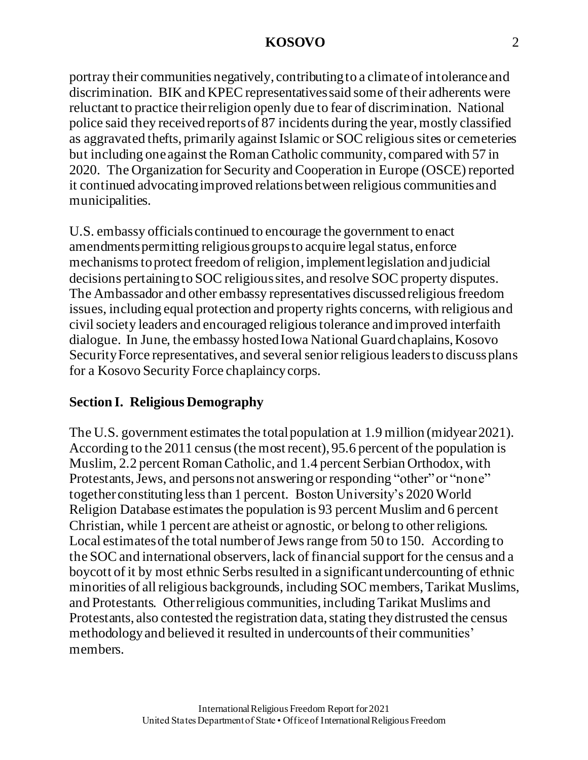portray their communities negatively, contributingto a climate of intolerance and discrimination. BIK and KPEC representatives said some of their adherents were reluctant to practice their religion openly due to fear of discrimination. National police said they received reportsof 87 incidents during the year, mostly classified as aggravated thefts, primarily against Islamic or SOC religious sites or cemeteries but including one against the Roman Catholic community, compared with 57 in 2020. The Organization for Security and Cooperation in Europe (OSCE) reported it continued advocating improved relations between religious communities and municipalities.

U.S. embassy officials continued to encourage the government to enact amendments permitting religious groups to acquire legal status, enforce mechanisms to protect freedom of religion, implement legislation and judicial decisions pertaining to SOC religious sites, and resolve SOC property disputes. The Ambassador and other embassy representatives discussed religious freedom issues, including equal protection and property rights concerns, with religious and civil society leaders and encouraged religious tolerance and improved interfaith dialogue. In June, the embassy hosted Iowa National Guard chaplains, Kosovo Security Force representatives, and several senior religious leaders to discuss plans for a Kosovo Security Force chaplaincy corps.

## **Section I. Religious Demography**

The U.S. government estimates the total population at 1.9 million (midyear 2021). According to the 2011 census(the most recent), 95.6 percent of the population is Muslim, 2.2 percent Roman Catholic, and 1.4 percent Serbian Orthodox, with Protestants, Jews, and persons not answering or responding "other" or "none" together constituting less than 1 percent. Boston University's 2020 World Religion Database estimates the population is 93 percent Muslim and 6 percent Christian, while 1 percent are atheist or agnostic, or belong to other religions. Local estimates of the total number of Jews range from 50 to 150. According to the SOC and international observers, lack of financial support for the census and a boycott of it by most ethnic Serbs resulted in a significant undercounting of ethnic minorities of all religious backgrounds, including SOC members, Tarikat Muslims, and Protestants. Other religious communities, including Tarikat Muslims and Protestants, also contested the registration data, stating they distrusted the census methodologyand believed it resulted in undercountsof their communities' members.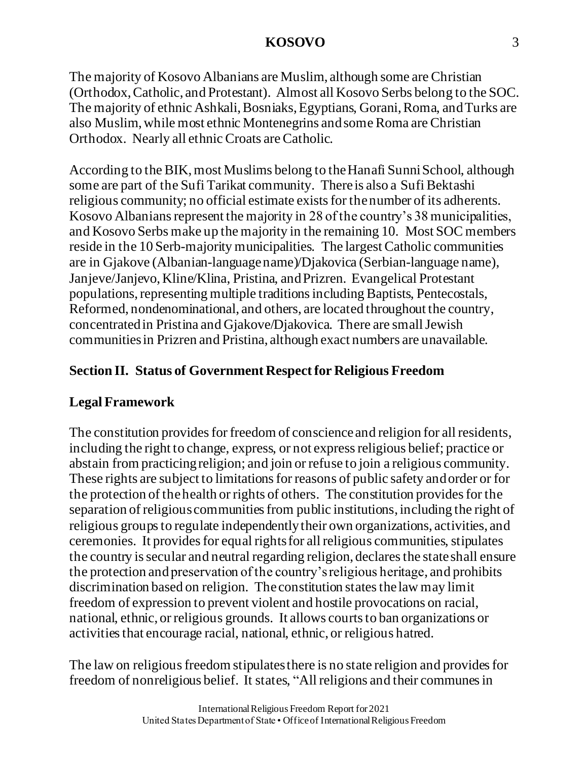The majority of Kosovo Albanians are Muslim, although some are Christian (Orthodox, Catholic, and Protestant). Almost all Kosovo Serbs belong to the SOC. The majority of ethnic Ashkali, Bosniaks, Egyptians, Gorani, Roma, and Turks are also Muslim, while most ethnic Montenegrins and some Roma are Christian Orthodox. Nearly all ethnic Croats are Catholic.

According to the BIK, most Muslims belong to the Hanafi Sunni School, although some are part of the Sufi Tarikat community. There is also a Sufi Bektashi religious community; no official estimate exists for thenumber of its adherents. Kosovo Albanians represent the majority in 28 of the country's 38 municipalities, and Kosovo Serbs make up the majority in the remaining 10. Most SOC members reside in the 10 Serb-majority municipalities. The largest Catholic communities are in Gjakove (Albanian-language name)/Djakovica (Serbian-language name), Janjeve/Janjevo, Kline/Klina, Pristina, and Prizren. Evangelical Protestant populations, representing multiple traditions including Baptists, Pentecostals, Reformed, nondenominational, and others, are located throughout the country, concentratedin Pristina and Gjakove/Djakovica. There are small Jewish communitiesin Prizren and Pristina, although exact numbers are unavailable.

## **Section II. Status of Government Respect for Religious Freedom**

# **Legal Framework**

The constitution provides for freedom of conscience and religion for all residents, including the right to change, express, or not express religious belief; practice or abstain from practicing religion; and join or refuse to join a religious community. These rights are subject to limitations for reasons of public safety and order or for the protection of the health or rights of others. The constitution provides for the separation of religious communities from public institutions, including the right of religious groups to regulate independently their own organizations, activities, and ceremonies. It provides for equal rights for all religious communities, stipulates the country is secular and neutral regarding religion, declares the state shall ensure the protection andpreservation of the country's religious heritage, and prohibits discrimination based on religion. The constitution states the law may limit freedom of expression to prevent violent and hostile provocations on racial, national, ethnic, or religious grounds. It allows courts to ban organizations or activities that encourage racial, national, ethnic, or religious hatred.

The law on religious freedom stipulates there is no state religion and provides for freedom of nonreligious belief. It states, "All religions and their communes in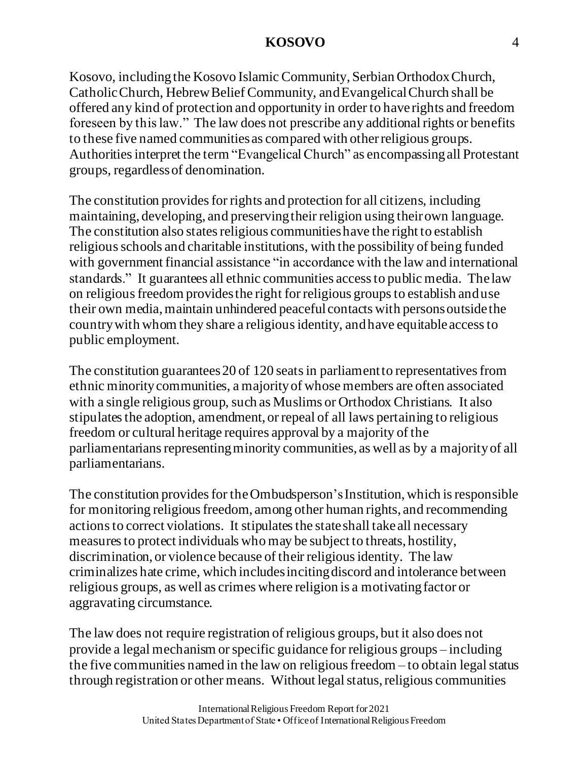Kosovo, including the Kosovo Islamic Community, Serbian Orthodox Church, Catholic Church, Hebrew Belief Community, and EvangelicalChurch shall be offered any kind of protection and opportunity in order to have rights and freedom foreseen by this law." The law does not prescribe any additional rights or benefits to these five named communities as compared with otherreligious groups. Authorities interpret the term "Evangelical Church" as encompassing all Protestant groups, regardless of denomination.

The constitution provides for rights and protection for all citizens, including maintaining, developing, and preservingtheir religion using their own language. The constitution also states religious communities have the right to establish religious schools and charitable institutions, with the possibility of being funded with government financial assistance "in accordance with the law and international standards." It guarantees all ethnic communities access to public media. The law on religious freedom provides the right forreligious groups to establish and use their own media, maintain unhindered peaceful contacts with persons outside the country with whom they share a religious identity, and have equitable access to public employment.

The constitution guarantees 20 of 120 seats in parliament to representatives from ethnic minority communities, a majority of whose members are often associated with a single religious group, such as Muslims or Orthodox Christians. It also stipulates the adoption, amendment, or repeal of all laws pertaining to religious freedom or cultural heritage requires approval by a majority of the parliamentarians representing minority communities, as well as by a majority of all parliamentarians.

The constitution provides for the Ombudsperson's Institution, which is responsible for monitoring religious freedom, among other human rights, and recommending actions to correct violations. It stipulates the state shall take all necessary measures to protect individuals who may be subject to threats, hostility, discrimination, or violence because of their religious identity. The law criminalizes hate crime, which includes inciting discord and intolerance between religious groups, as well as crimes where religion is a motivating factor or aggravating circumstance.

The law does not require registration of religious groups, but it also does not provide a legal mechanism or specific guidance for religious groups – including the five communities named in the law on religious freedom – to obtain legal status through registration or other means. Without legal status, religious communities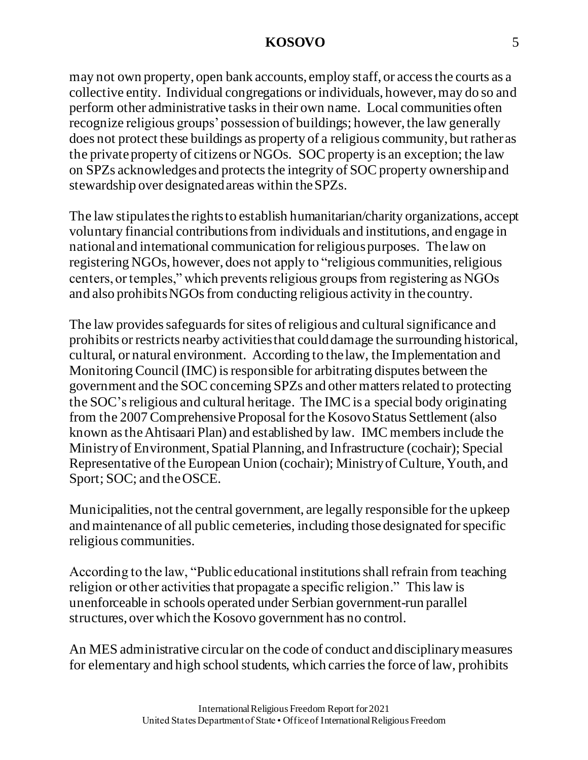may not own property, open bank accounts, employ staff, or access the courts as a collective entity. Individual congregations or individuals, however, may do so and perform other administrative tasks in their own name. Local communities often recognize religious groups' possession of buildings; however, the law generally does not protect these buildings as property of a religious community, but rather as the private property of citizens or NGOs. SOC property is an exception; the law on SPZs acknowledges and protects the integrity of SOC property ownership and stewardship over designated areas within the SPZs.

The law stipulates the rights to establish humanitarian/charity organizations, accept voluntary financial contributions from individuals and institutions, and engage in national and international communication for religious purposes. The law on registering NGOs, however, does not apply to "religious communities, religious centers, or temples," which prevents religious groups from registering as NGOs and also prohibits NGOs from conducting religious activity in the country.

The law provides safeguards for sites of religious and cultural significance and prohibits or restricts nearby activities that could damage the surrounding historical, cultural, or natural environment. According to the law, the Implementation and Monitoring Council (IMC) is responsible for arbitrating disputes between the government and the SOC concerning SPZs and other matters related to protecting the SOC'sreligious and cultural heritage. The IMC is a special body originating from the 2007 Comprehensive Proposal for the Kosovo Status Settlement (also known as the Ahtisaari Plan) and established by law. IMC members include the Ministry of Environment, Spatial Planning, and Infrastructure (cochair); Special Representative of the European Union (cochair); Ministry of Culture, Youth, and Sport; SOC; and the OSCE.

Municipalities, not the central government, are legally responsible for the upkeep and maintenance of all public cemeteries, including those designated for specific religious communities.

According to the law, "Public educational institutions shall refrain from teaching religion or other activities that propagate a specific religion." This law is unenforceable in schools operated under Serbian government-run parallel structures, over which the Kosovo government has no control.

An MES administrative circular on the code of conduct and disciplinary measures for elementary and high school students, which carries the force of law, prohibits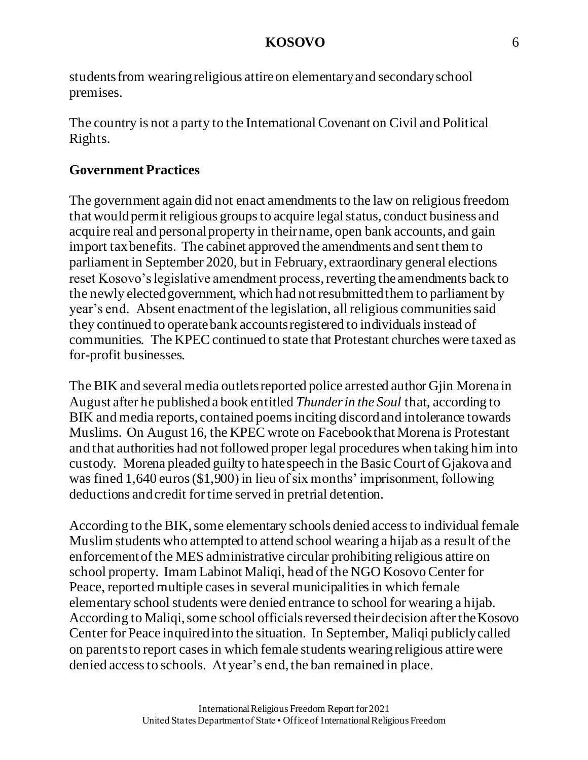students from wearing religious attireon elementary and secondary school premises.

The country is not a party to the International Covenant on Civil and Political Rights.

## **Government Practices**

The government again did not enact amendments to the law on religious freedom that would permit religious groups to acquire legal status, conduct business and acquire real and personal property in their name, open bank accounts, and gain import tax benefits. The cabinet approved the amendments and sent them to parliament in September 2020, but in February, extraordinary general elections reset Kosovo's legislative amendment process, reverting the amendments back to the newly elected government, which had not resubmitted them to parliament by year's end. Absent enactment of the legislation, all religious communities said they continued to operate bank accounts registered to individuals instead of communities. The KPEC continued to state that Protestant churches were taxed as for-profit businesses.

The BIK and several media outlets reported police arrested author Gjin Morena in August after he published a book entitled *Thunder in the Soul* that, according to BIK and media reports, contained poems inciting discord and intolerance towards Muslims. On August 16, the KPEC wrote on Facebook that Morena is Protestant and that authorities had not followed proper legal procedures when taking him into custody. Morena pleaded guilty to hate speech in the Basic Court of Gjakova and was fined 1,640 euros (\$1,900) in lieu of six months' imprisonment, following deductions and credit for time served in pretrial detention.

According to the BIK, some elementary schools denied access to individual female Muslim students who attempted to attend school wearing a hijab as a result of the enforcementof the MES administrative circular prohibiting religious attire on school property. Imam Labinot Maliqi, head of the NGO Kosovo Center for Peace, reported multiple cases in several municipalities in which female elementary school students were denied entrance to school for wearing a hijab. According to Maliqi, some school officials reversed their decision after the Kosovo Center for Peace inquired into the situation. In September, Maliqi publicly called on parentsto report cases in which female students wearingreligious attire were denied access to schools. At year's end, the ban remained in place.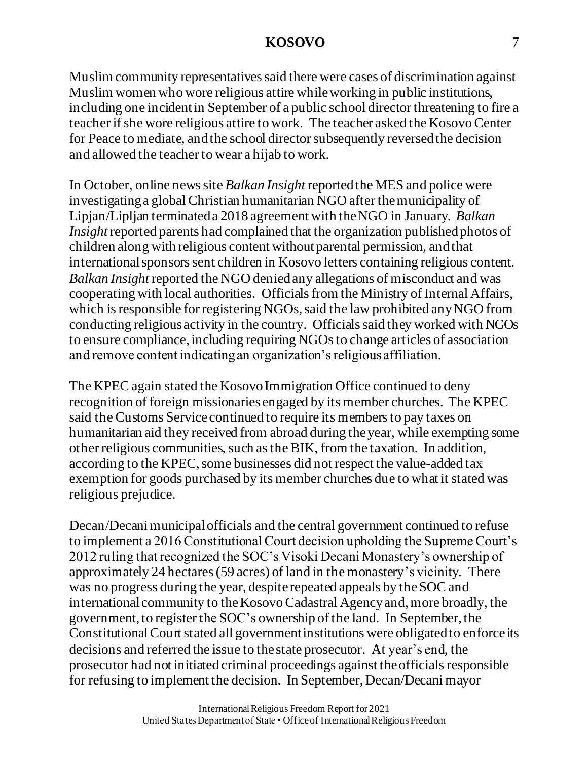Muslim community representatives said there were cases of discrimination against Muslim women who wore religious attire while working in public institutions, including one incident in September of a public school director threatening to fire a teacher if she wore religious attire to work. The teacher asked the Kosovo Center for Peace to mediate, and the school director subsequently reversed the decision and allowed the teacher to wear a hijab to work.

In October, online news site *Balkan Insight* reported the MES and police were investigating a global Christian humanitarian NGO after the municipality of Lipjan/Lipljan terminated a 2018 agreement with the NGO in January. *Balkan Insight* reported parents had complained that the organization published photos of children along with religious content without parental permission, and that international sponsors sent children in Kosovo letters containing religious content. *Balkan Insight* reported the NGO denied any allegations of misconduct and was cooperating with local authorities. Officials from the Ministry of Internal Affairs, which is responsible for registering NGOs, said the law prohibited any NGO from conducting religious activity in the country. Officials said they worked with NGOs to ensure compliance, including requiring NGOs to change articles of association and remove content indicating an organization's religious affiliation.

The KPEC again stated the Kosovo Immigration Office continued to deny recognition of foreign missionaries engaged by its member churches. The KPEC said the Customs Service continued to require its members to pay taxes on humanitarian aid they received from abroad during the year, while exempting some other religious communities, such as the BIK, from the taxation. In addition, according to the KPEC, some businesses did not respect the value-added tax exemption for goods purchased by its member churches due to what it stated was religious prejudice.

Decan/Decani municipal officials and the central government continued to refuse to implement a 2016 Constitutional Court decision upholding the Supreme Court's 2012 ruling that recognized the SOC's Visoki Decani Monastery's ownership of approximately 24 hectares (59 acres) of land in the monastery's vicinity. There was no progress during the year, despite repeated appeals by the SOC and international community to the Kosovo Cadastral Agency and, more broadly, the government, to register the SOC's ownership of the land. In September, the Constitutional Court stated all government institutions were obligated to enforce its decisions and referred the issue to the state prosecutor. At year's end, the prosecutor had not initiated criminal proceedings against the officialsresponsible for refusing to implement the decision. In September, Decan/Decani mayor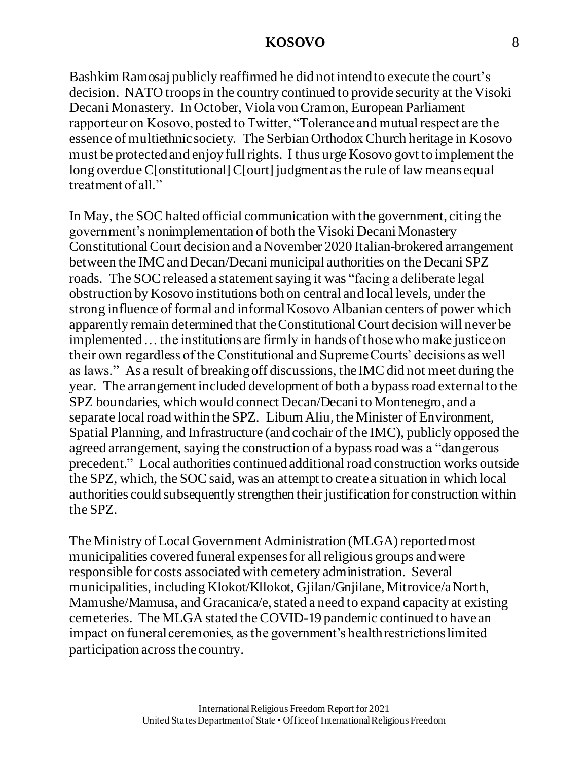Bashkim Ramosaj publicly reaffirmed he did not intend to execute the court's decision. NATO troops in the country continued to provide security at the Visoki Decani Monastery. In October, Viola von Cramon, European Parliament rapporteur on Kosovo, posted to Twitter, "Tolerance and mutual respect are the essence of multiethnic society. The Serbian Orthodox Church heritage in Kosovo must be protected and enjoy full rights. I thus urge Kosovo govt to implement the long overdue C[onstitutional] C[ourt] judgment as the rule of law means equal treatment of all."

In May, the SOC halted official communication with the government, citing the government's nonimplementation of both the Visoki Decani Monastery Constitutional Court decision and a November 2020 Italian-brokered arrangement between the IMC and Decan/Decani municipal authorities on the Decani SPZ roads. The SOC released a statement saying it was "facing a deliberate legal obstruction by Kosovo institutions both on central and local levels, under the strong influence of formal and informal Kosovo Albanian centers of power which apparently remain determined that the Constitutional Court decision will never be implemented… the institutions are firmly in hands of those who make justice on their own regardless of the Constitutional and Supreme Courts' decisions as well as laws." As a result of breaking off discussions, the IMC did not meet during the year. The arrangement included development of both a bypass road external to the SPZ boundaries, which would connect Decan/Decani to Montenegro, and a separate local road within the SPZ. Liburn Aliu, the Minister of Environment, Spatial Planning, and Infrastructure (and cochair of the IMC), publicly opposed the agreed arrangement, saying the construction of a bypass road was a "dangerous precedent." Local authorities continued additional road construction works outside the SPZ, which, the SOC said, was an attempt to create a situation in which local authorities could subsequently strengthen their justification for construction within the SPZ.

The Ministry of Local Government Administration (MLGA) reported most municipalities covered funeral expenses for all religious groups and were responsible for costs associated with cemetery administration. Several municipalities, including Klokot/Kllokot, Gjilan/Gnjilane, Mitrovice/a North, Mamushe/Mamusa, and Gracanica/e, stated a need to expand capacity at existing cemeteries. The MLGA stated the COVID-19 pandemic continued to have an impact on funeral ceremonies, as the government's health restrictions limited participation across the country.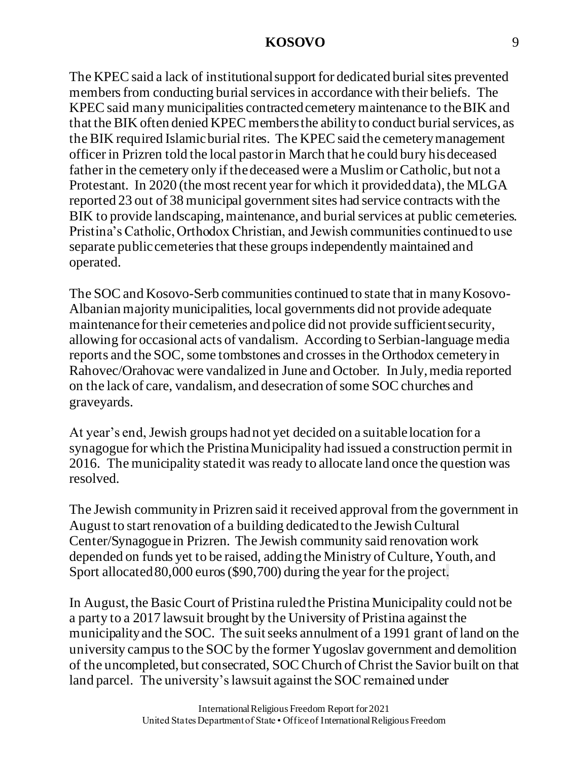The KPEC said a lack of institutional support for dedicated burial sites prevented members from conducting burial services in accordance with their beliefs. The KPEC said many municipalities contracted cemetery maintenance to the BIK and that the BIK often denied KPEC members the ability to conduct burial services, as the BIK required Islamic burial rites. The KPEC said the cemetery management officer in Prizren told the local pastor in March that he could bury his deceased father in the cemetery only if the deceased were a Muslim or Catholic, but not a Protestant. In 2020 (the most recent year for which it provided data), the MLGA reported 23 out of 38 municipal government sites had service contracts with the BIK to provide landscaping, maintenance, and burial services at public cemeteries. Pristina's Catholic, Orthodox Christian, and Jewish communities continued to use separate public cemeteries that these groups independently maintained and operated.

The SOC and Kosovo-Serb communities continued to state that in many Kosovo-Albanian majority municipalities, local governments did not provide adequate maintenance for their cemeteries and police did not provide sufficient security, allowing for occasional acts of vandalism. According to Serbian-language media reports and the SOC, some tombstones and crosses in the Orthodox cemetery in Rahovec/Orahovac were vandalized in June and October. In July, media reported on the lack of care, vandalism, and desecration of some SOC churches and graveyards.

At year's end, Jewish groups had not yet decided on a suitable location for a synagogue for which the Pristina Municipality had issued a construction permit in 2016. The municipality stated it was ready to allocate land once the question was resolved.

The Jewish community in Prizren said it received approval from the government in August to start renovation of a building dedicated to the Jewish Cultural Center/Synagogue in Prizren. The Jewish community said renovation work depended on funds yet to be raised, adding the Ministry of Culture, Youth, and Sport allocated 80,000 euros(\$90,700) during the year for the project.

In August, the BasicCourt of Pristina ruled the Pristina Municipality could not be a party to a 2017 lawsuit brought by the University of Pristina against the municipality and the SOC. The suit seeks annulment of a 1991 grant of land on the university campus to the SOC by the former Yugoslav government and demolition of the uncompleted, but consecrated, SOC Church of Christ the Savior built on that land parcel. The university's lawsuit against the SOC remained under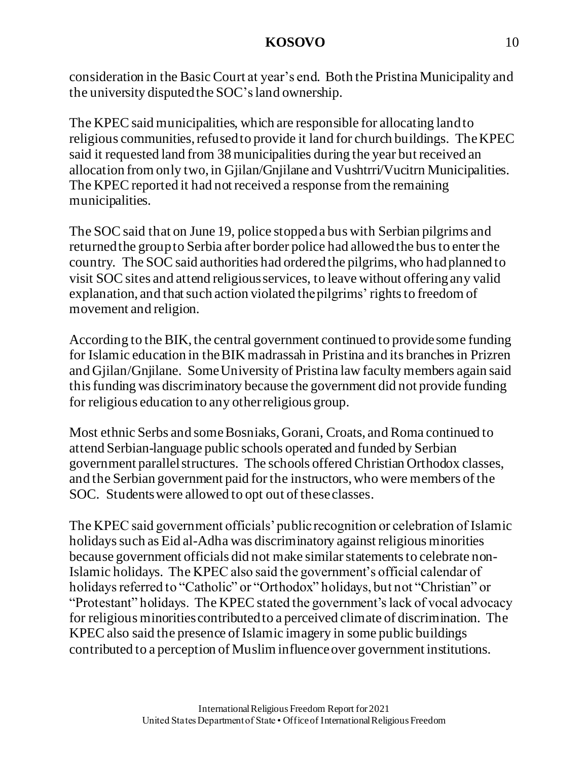consideration in the Basic Court at year's end. Both the Pristina Municipality and the university disputedthe SOC'sland ownership.

The KPEC said municipalities, which are responsible for allocating land to religious communities, refused to provide it land for church buildings. The KPEC said it requested land from 38 municipalities during the year but received an allocation from only two,in Gjilan/Gnjilane and Vushtrri/Vucitrn Municipalities. The KPEC reported it had not received a response from the remaining municipalities.

The SOC said that on June 19, police stopped a bus with Serbian pilgrims and returned the group to Serbia after border police had allowedthe busto enter the country. The SOC said authorities had ordered the pilgrims, who had planned to visit SOC sites and attend religious services, to leave without offering any valid explanation, and that such action violated the pilgrims' rights to freedom of movement and religion.

According to the BIK, the central government continued to provide some funding for Islamic education in the BIK madrassah in Pristina and its branches in Prizren and Gjilan/Gnjilane. Some University of Pristina law faculty members again said this funding was discriminatory because the government did not provide funding for religious education to any other religious group.

Most ethnic Serbs and some Bosniaks, Gorani, Croats, and Roma continued to attend Serbian-language public schools operated and funded by Serbian government parallel structures. The schools offered Christian Orthodox classes, and the Serbian government paid for the instructors, who were members of the SOC. Students were allowed to opt out of these classes.

The KPEC said government officials' public recognition or celebration of Islamic holidays such as Eid al-Adha was discriminatory against religious minorities because government officials did not make similar statements to celebrate non-Islamic holidays. The KPEC also said the government's official calendar of holidays referred to "Catholic" or "Orthodox" holidays, but not "Christian" or "Protestant" holidays. The KPEC stated the government's lack of vocal advocacy for religious minorities contributed to a perceived climate of discrimination. The KPEC also said the presence of Islamic imagery in some public buildings contributed to a perception of Muslim influence over government institutions.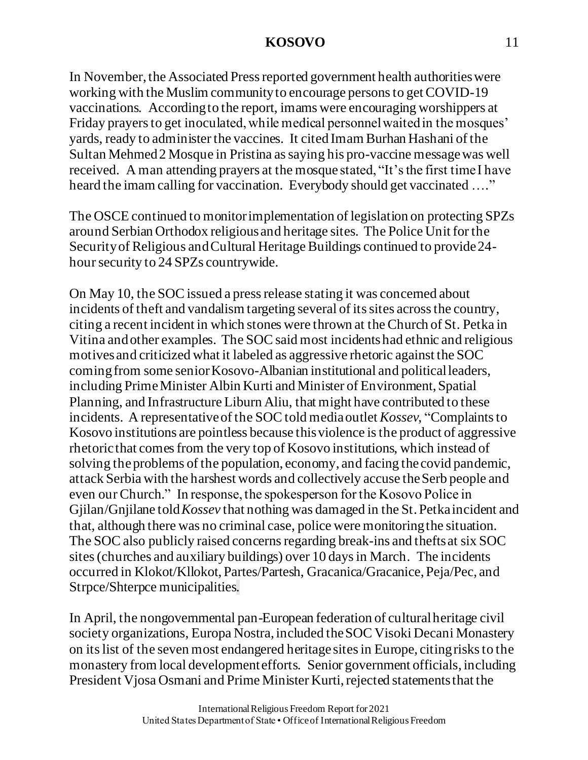In November, the Associated Press reported government health authorities were working with the Muslim community to encourage persons to get COVID-19 vaccinations. According to the report, imams were encouraging worshippers at Friday prayers to get inoculated, while medical personnel waited in the mosques' yards, ready to administer the vaccines. It cited Imam Burhan Hashani of the Sultan Mehmed 2 Mosque in Pristina as saying his pro-vaccine message was well received. A man attending prayers at the mosque stated, "It's the first time I have heard the imam calling for vaccination. Everybody should get vaccinated ...."

The OSCE continued to monitor implementation of legislation on protecting SPZs around Serbian Orthodox religious and heritage sites. The Police Unit for the Security of Religious and Cultural Heritage Buildings continued to provide 24 hour security to 24 SPZs countrywide.

On May 10, the SOC issued a press release stating it was concerned about incidents of theft and vandalism targeting several of its sites across the country, citing a recent incident in which stones were thrown at the Church of St. Petka in Vitina and other examples. The SOC said most incidents had ethnic and religious motivesand criticized what it labeled as aggressive rhetoric against the SOC coming from some senior Kosovo-Albanian institutional and political leaders, including Prime Minister Albin Kurti and Minister of Environment, Spatial Planning, and Infrastructure Liburn Aliu, that might have contributed to these incidents. A representative of the SOC told media outlet *Kossev*, "Complaints to Kosovo institutions are pointless because this violence is the product of aggressive rhetoric that comes from the very top of Kosovo institutions, which instead of solving the problems of the population, economy, and facing the covid pandemic, attack Serbia with the harshest words and collectively accuse the Serb people and even our Church." In response, the spokesperson for the Kosovo Police in Gjilan/Gnjilane told *Kossev* that nothing was damaged in the St. Petka incident and that, although there was no criminal case, police were monitoring the situation. The SOC also publicly raised concerns regarding break-ins and thefts at six SOC sites (churches and auxiliary buildings) over 10 days in March. The incidents occurred in Klokot/Kllokot, Partes/Partesh, Gracanica/Gracanice, Peja/Pec, and Strpce/Shterpce municipalities.

In April, the nongovernmental pan-European federation of cultural heritage civil society organizations, Europa Nostra, included the SOC Visoki Decani Monastery on its list of the seven most endangered heritage sites in Europe, citing risks to the monastery from local development efforts. Senior government officials, including President Vjosa Osmani and Prime Minister Kurti, rejected statements that the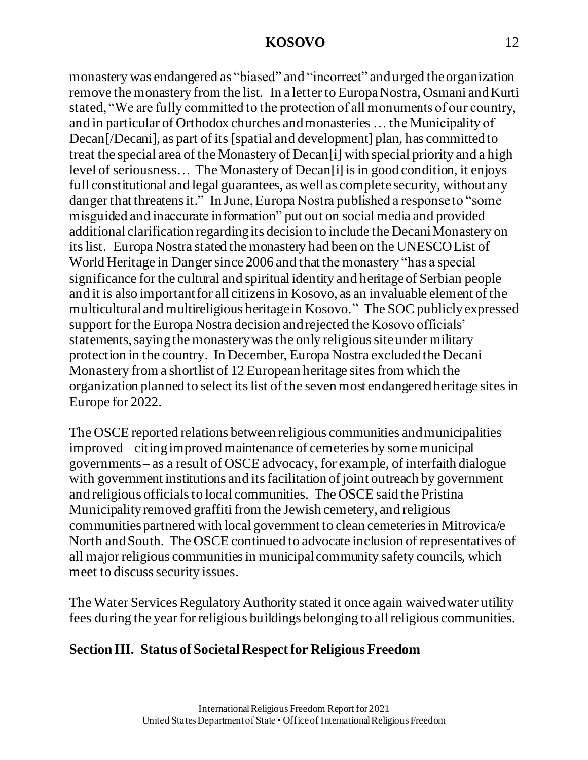monastery was endangered as "biased" and "incorrect" andurged the organization remove the monastery from the list. In a letter to Europa Nostra, Osmani and Kurti stated, "We are fully committed to the protection of all monuments of our country, and in particular of Orthodox churches and monasteries … the Municipality of Decan[/Decani], as part of its [spatial and development] plan, has committed to treat the special area of the Monastery of Decan[i] with special priority and a high level of seriousness… The Monastery of Decan[i] is in good condition, it enjoys full constitutional and legal guarantees, as well as complete security, without any danger that threatens it." In June, Europa Nostra published a response to "some misguided and inaccurate information" put out on social media and provided additional clarification regarding its decision to include the Decani Monastery on its list. Europa Nostra stated the monastery had been on the UNESCO List of World Heritage in Danger since 2006 and that the monastery "has a special significance for the cultural and spiritual identity and heritage of Serbian people and it is also important for all citizens in Kosovo, as an invaluable element of the multicultural and multireligious heritage in Kosovo." The SOC publicly expressed support for the Europa Nostra decision and rejected the Kosovo officials' statements, sayingthe monastery was the only religious site under military protection in the country. In December, Europa Nostra excluded the Decani Monastery from a shortlist of 12 European heritage sites from which the organization planned to select its list of the seven most endangered heritage sites in Europe for 2022.

The OSCE reported relations between religious communities and municipalities improved – citing improved maintenance of cemeteries by some municipal governments – as a result of OSCE advocacy, for example, of interfaith dialogue with government institutions and its facilitation of joint outreach by government and religious officials to local communities. The OSCE said the Pristina Municipality removed graffiti from the Jewish cemetery, and religious communities partnered with local government to clean cemeteries in Mitrovica/e North and South. The OSCE continued to advocate inclusion of representatives of all major religious communities in municipal community safety councils, which meet to discuss security issues.

The Water Services Regulatory Authority stated it once again waived water utility fees during the year for religious buildings belonging to all religious communities.

## **Section III. Status of Societal Respect for Religious Freedom**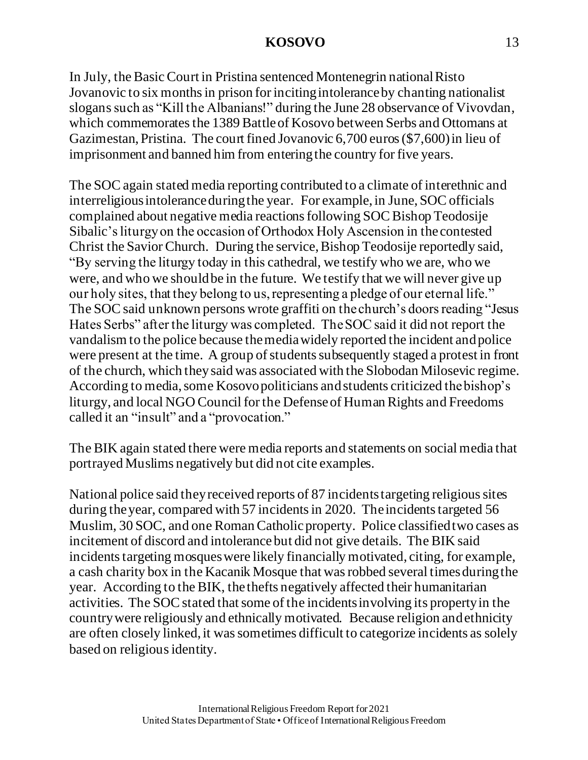In July, the Basic Court in Pristina sentenced Montenegrin national Risto Jovanovic to six months in prison for inciting intolerance by chanting nationalist slogans such as "Kill the Albanians!" during the June 28 observance of Vivovdan, which commemorates the 1389 Battle of Kosovo between Serbs and Ottomans at Gazimestan, Pristina. The court fined Jovanovic 6,700 euros (\$7,600) in lieu of imprisonment and banned him from entering the country for five years.

The SOC again stated media reporting contributed to a climate of interethnic and interreligious intolerance during the year. For example, in June, SOC officials complained about negative media reactions following SOC Bishop Teodosije Sibalic's liturgy on the occasion of Orthodox Holy Ascension in the contested Christ the Savior Church. During the service, Bishop Teodosije reportedly said, "By serving the liturgy today in this cathedral, we testify who we are, who we were, and who we should be in the future. We testify that we will never give up our holy sites, that they belong to us, representing a pledge of our eternal life." The SOC said unknown persons wrote graffiti on the church's doors reading "Jesus Hates Serbs" after the liturgy was completed. The SOC said it did not report the vandalism to the police because the media widely reported the incident and police were present at the time. A group of students subsequently staged a protest in front of the church, which they said was associated with the Slobodan Milosevic regime. According to media, some Kosovo politicians andstudents criticized the bishop's liturgy, and local NGO Council for the Defenseof Human Rights and Freedoms called it an "insult" and a "provocation."

The BIK again stated there were media reports and statements on social media that portrayed Muslims negatively but did not cite examples.

National police said they received reports of 87 incidents targeting religious sites during the year, compared with 57 incidents in 2020. The incidents targeted 56 Muslim, 30 SOC, and one Roman Catholic property. Police classified two cases as incitement of discord and intolerance but did not give details. The BIK said incidents targeting mosques were likely financially motivated, citing, for example, a cash charity box in the Kacanik Mosque that was robbed several times during the year. According to the BIK, the thefts negatively affected their humanitarian activities. The SOC stated that some of the incidents involving its property in the country were religiously and ethnically motivated. Because religion and ethnicity are often closely linked, it was sometimes difficult to categorize incidents as solely based on religious identity.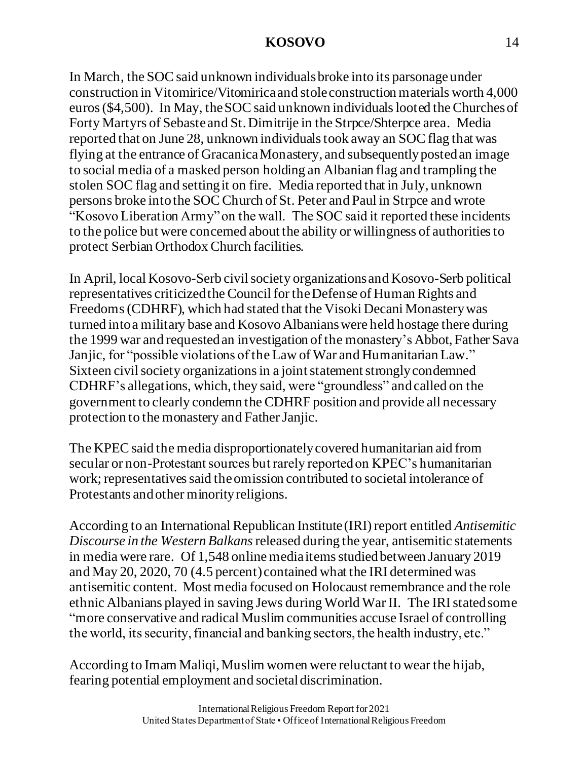In March, the SOC said unknown individuals broke into its parsonage under construction in Vitomirice/Vitomirica and stole construction materials worth 4,000 euros (\$4,500). In May, the SOC said unknown individuals looted the Churches of Forty Martyrs of Sebaste and St. Dimitrije in the Strpce/Shterpce area. Media reported that on June 28, unknown individuals took away an SOC flag that was flying at the entrance of Gracanica Monastery, and subsequently posted an image to social media of a masked person holding an Albanian flag and trampling the stolen SOC flag and setting it on fire. Media reported that in July, unknown persons broke into the SOC Church of St. Peter and Paul in Strpce and wrote "Kosovo Liberation Army" on the wall. The SOC said it reported these incidents to the police but were concerned about the ability or willingness of authorities to protect Serbian Orthodox Church facilities.

In April, local Kosovo-Serb civil society organizations and Kosovo-Serb political representatives criticized the Council for the Defense of Human Rights and Freedoms(CDHRF), which had stated that the Visoki Decani Monastery was turned into a military base and Kosovo Albanians were held hostage there during the 1999 war and requested an investigation of the monastery's Abbot, Father Sava Janjic, for "possible violations of the Law of War and Humanitarian Law." Sixteen civil society organizations in a joint statement strongly condemned CDHRF's allegations, which, they said, were "groundless" and called on the government to clearly condemn the CDHRF position and provide all necessary protection to the monastery and Father Janjic.

The KPEC said the media disproportionately covered humanitarian aid from secular or non-Protestant sources but rarely reported on KPEC's humanitarian work; representatives said the omission contributed to societal intolerance of Protestants and other minority religions.

According to an International Republican Institute (IRI) report entitled *Antisemitic Discourse in the Western Balkans*released during the year, antisemitic statements in media were rare. Of 1,548 online media items studied between January 2019 and May 20, 2020, 70 (4.5 percent) contained what the IRI determined was antisemitic content. Most media focused on Holocaust remembrance and the role ethnic Albanians played in saving Jews during World War II. The IRI stated some "more conservative and radical Muslim communities accuse Israel of controlling the world, its security, financial and banking sectors, the health industry, etc."

According to Imam Maliqi, Muslim women were reluctant to wear the hijab, fearing potential employment and societal discrimination.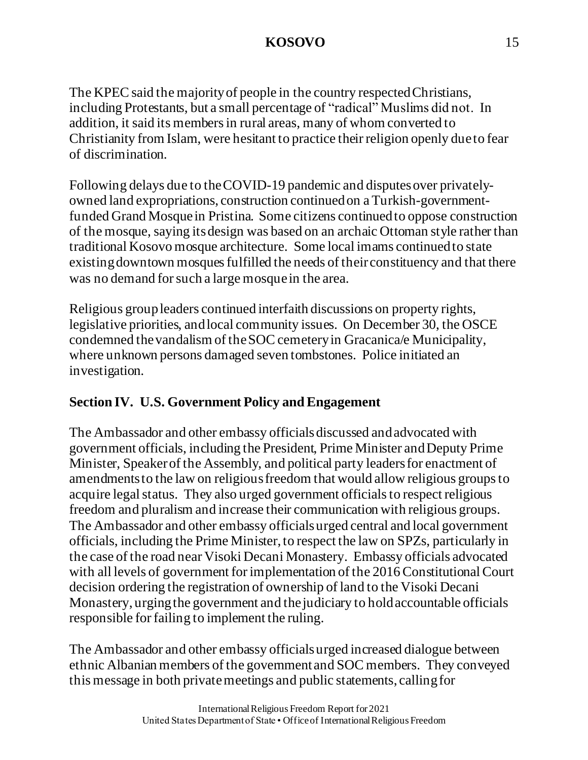The KPEC said the majority of people in the country respected Christians, including Protestants, but a small percentage of "radical" Muslims did not. In addition, it said its members in rural areas, many of whom converted to Christianity from Islam, were hesitant to practice their religion openly due to fear of discrimination.

Following delays due to the COVID-19 pandemic and disputes over privatelyowned land expropriations, construction continued on a Turkish-governmentfunded Grand Mosque in Pristina. Some citizens continued to oppose construction of the mosque, saying its design was based on an archaic Ottoman style rather than traditional Kosovo mosque architecture. Some local imams continued to state existing downtown mosques fulfilled the needs of their constituency and that there was no demand for such a large mosque in the area.

Religious group leaders continued interfaith discussions on property rights, legislative priorities, and local community issues. On December 30, the OSCE condemned the vandalism of the SOC cemetery in Gracanica/e Municipality, where unknown persons damaged seven tombstones. Police initiated an investigation.

# **Section IV. U.S. Government Policy and Engagement**

The Ambassador and other embassy officials discussed and advocated with government officials, including the President, Prime Minister and Deputy Prime Minister, Speaker of the Assembly, and political party leaders for enactment of amendments to the law on religious freedom that would allow religious groups to acquire legal status. They also urged government officials to respect religious freedom and pluralism and increase their communication with religious groups. The Ambassador and other embassy officials urged central and local government officials, including the Prime Minister, to respect the law on SPZs, particularly in the case of the road near Visoki Decani Monastery. Embassy officials advocated with all levels of government for implementation of the 2016 Constitutional Court decision ordering the registration of ownership of land to the Visoki Decani Monastery, urging the government and the judiciary to hold accountable officials responsible for failing to implement the ruling.

The Ambassador and other embassy officials urged increased dialogue between ethnic Albanian members of the government and SOC members. They conveyed this message in both private meetings and public statements, calling for